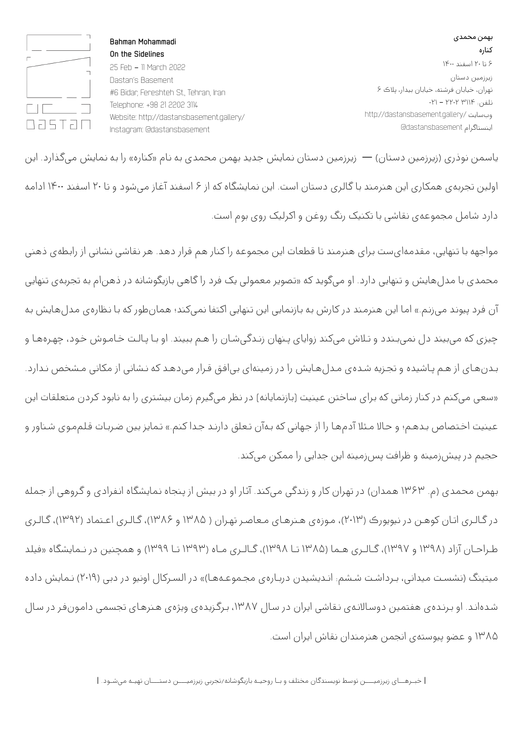بهمن محمدی کناره ۶ تا ۲۰ اسفند ۱۴۰۰ زیرزمین دستان تهران، خیابان فرشته، خیابان بیدار، پلاک ۶ تلفن: ۳۱۱۴ ۲۲۰۲ - ۰۲۱ http://dastansbasement.gallery/ وبسایت اینستاگرام dastansbasement@

**Bahman Mohammadi On the Sidelines**  25 Feb - 11 March 2022 Dastan's Basement #6 Bidar, Fereshteh St., Tehran, Iran Telephone: +98 21 2202 3114 Website: http://dastansbasement.gallery/ Instagram: @dastansbasement

 $\Box$ **DRSTRD** 

یاسـمن نـوذری (زیرزمین دسـتان) — زیرزمین دسـتان نـمایش جـدید بـهمن محـمدی بـه نـام «کناره» را بـه نـمایش میگـذارد. این اولین تجـربـهی همکاری این هـنرمـند بـا گـالـری دسـتان اسـت. این نـمایشگاه که از ۶ اسـفند آغـاز میشـود و تـا ۲۰ اسـفند ۱۴۰۰ ادامـه دارد شامل مجموعهی نقاشی با تکنیک رنگ روغن و اکرلیک روی بوم است.

مواجهه با تـنهایی، مـقدمـهایست بـرای هـنرمـند تا قطعات این مجموعـه را کـنار هم قرار دهـد. هـر نـقاشی نـشانی از رابـطهی ذهـنی محمدی با مدلهایش و تنهایی دارد. او میگوید که «تصویر معمولی یک فرد را گاهی بازیگوشانه در ذهن|م به تجربهی تنهایی آن فرد پیوند می;نم.» اما این هـنرمـند در کارش به بازنمایی این تـنهایی اکتفا نمیکند؛ همانطور که با نـظارهی مـدل هایش به چیزی که میبیند دل نمیبـندد و تـلاش میکند زوایای پـنهان زنـدگیشـان را هـم ببیند. او بـا پـالـت خـامـوش خـود، چهـرههـا و بـدنهـای از هـم پـاشیده و تجـزیه شـدهی مـدل $\alpha$ هـایش را در زمینهای بی|فـق قـرار می $\alpha$ دهـد که نـشانی از مکانی مـشخص نـدارد. «سعی میکنم در کنار زمانی که برای ساختن عینیت [بازنمایانه] در نظر میگیرم زمان بیشتری را به نابود کردن متعلقات این عینیت اخـتصاص بـدهـم؛ و حـالا مـثلا آدمهـا را از جـهانی که بـهآن تـعلق دارنـد جـدا کنم.» تـمایز بین ضـربـات قـلممـوی شـناور و حجیم در پیشزمینه و ظرافت پسزمینه این جدایی را ممکن میکند.

بـهمن محـمدی (م. ۱۳۶۳ هـمدان) در تهـران کار و زنـدگی میکند. آثـار او در بیش از پـنجاه نـمایشگاه انـفرادی و گـروهی از جـمله در گـالـری اتـان کوهـن در نیویورک (۲۰۱۳)، مـوزهی هـنرهـای مـعاصـر تهـران ( ۱۳۸۵ و ۱۳۸۶)، گـالـری اعـتماد (۱۳۹۲)، گـالـری طـراحـان آزاد (۱۳۹۸ و ۱۳۹۷)، گـالـری هـما (۱۳۸۵ تـا ۱۳۹۸)، گـالـری مـاه (۱۳۹۳ تـا ۱۳۹۹) و همچنین در نـمایشگاه «فیلد میتینگ (نشسـت میدانی، بـرداشـت شـشم: انـدیشیدن دربـارهی مجـموعـههـا)» در السـرکال اونیو در دبی (۲۰۱۹) نـمایش داده شـدهانـد. او بـرنـدهی هفتمین دوسـالانـهی نـقاشی ایران در سـال ،۱۳۸۷ بـرگـزیدهی ویژهی هـنرهـای تجسمی دامـونفـر در سـال ۱۳۸۵ و عضو پیوستهی انجمن هنرمندان نقاش ایران است.